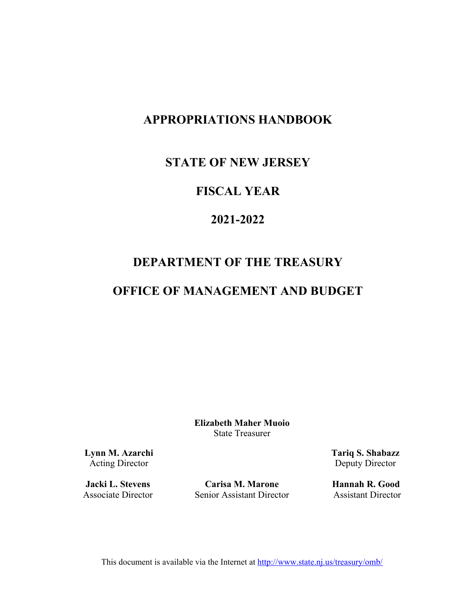# **APPROPRIATIONS HANDBOOK**

### **STATE OF NEW JERSEY**

## **FISCAL YEAR**

# **2021-2022**

# **DEPARTMENT OF THE TREASURY**

## **OFFICE OF MANAGEMENT AND BUDGET**

**Elizabeth Maher Muoio**  State Treasurer

**Lynn M. Azarchi** Acting Director

**Jacki L. Stevens**  Associate Director

**Carisa M. Marone** Senior Assistant Director **Tariq S. Shabazz** Deputy Director

**Hannah R. Good**  Assistant Director

This document is available via the Internet at http://www.state.nj.us/treasury/omb/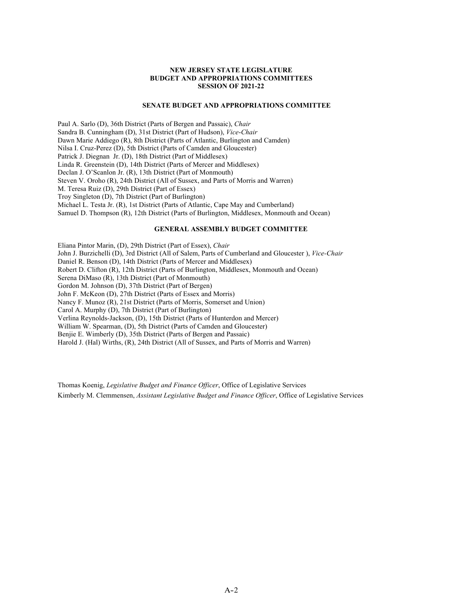#### **NEW JERSEY STATE LEGISLATURE BUDGET AND APPROPRIATIONS COMMITTEES SESSION OF 2021-22**

#### **SENATE BUDGET AND APPROPRIATIONS COMMITTEE**

Paul A. Sarlo (D), 36th District (Parts of Bergen and Passaic), *Chair* Sandra B. Cunningham (D), 31st District (Part of Hudson), *Vice*-*Chair* Dawn Marie Addiego (R), 8th District (Parts of Atlantic, Burlington and Camden) Nilsa I. Cruz-Perez (D), 5th District (Parts of Camden and Gloucester) Patrick J. Diegnan Jr. (D), 18th District (Part of Middlesex) Linda R. Greenstein (D), 14th District (Parts of Mercer and Middlesex) Declan J. O'Scanlon Jr. (R), 13th District (Part of Monmouth) Steven V. Oroho (R), 24th District (All of Sussex, and Parts of Morris and Warren) M. Teresa Ruiz (D), 29th District (Part of Essex) Troy Singleton (D), 7th District (Part of Burlington) Michael L. Testa Jr. (R), 1st District (Parts of Atlantic, Cape May and Cumberland) Samuel D. Thompson (R), 12th District (Parts of Burlington, Middlesex, Monmouth and Ocean)

#### **GENERAL ASSEMBLY BUDGET COMMITTEE**

Eliana Pintor Marin, (D), 29th District (Part of Essex), *Chair* John J. Burzichelli (D), 3rd District (All of Salem, Parts of Cumberland and Gloucester ), *Vice-Chair* Daniel R. Benson (D), 14th District (Parts of Mercer and Middlesex) Robert D. Clifton (R), 12th District (Parts of Burlington, Middlesex, Monmouth and Ocean) Serena DiMaso (R), 13th District (Part of Monmouth) Gordon M. Johnson (D), 37th District (Part of Bergen) John F. McKeon (D), 27th District (Parts of Essex and Morris) Nancy F. Munoz (R), 21st District (Parts of Morris, Somerset and Union) Carol A. Murphy (D), 7th District (Part of Burlington) Verlina Reynolds-Jackson, (D), 15th District (Parts of Hunterdon and Mercer) William W. Spearman, (D), 5th District (Parts of Camden and Gloucester) Benjie E. Wimberly (D), 35th District (Parts of Bergen and Passaic) Harold J. (Hal) Wirths, (R), 24th District (All of Sussex, and Parts of Morris and Warren)

Thomas Koenig, *Legislative Budget and Finance Officer*, Office of Legislative Services Kimberly M. Clemmensen, *Assistant Legislative Budget and Finance Officer*, Office of Legislative Services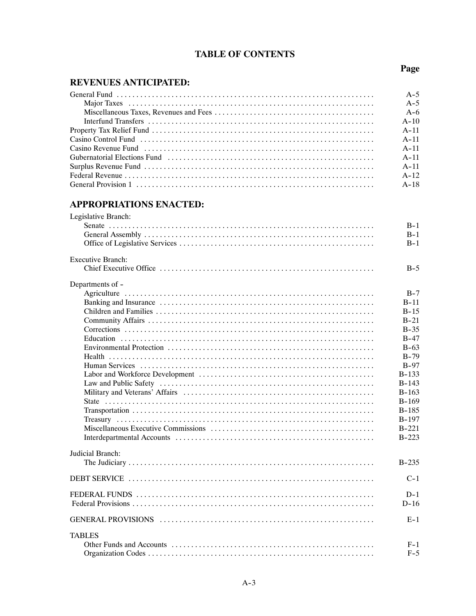### **TABLE OF CONTENTS**

Page

### **REVENUES ANTICIPATED:**

|                                                                                                                                                                                                                                | $A-5$    |
|--------------------------------------------------------------------------------------------------------------------------------------------------------------------------------------------------------------------------------|----------|
|                                                                                                                                                                                                                                | $A-5$    |
|                                                                                                                                                                                                                                | $A - 6$  |
|                                                                                                                                                                                                                                | $A - 10$ |
|                                                                                                                                                                                                                                | $A - 11$ |
|                                                                                                                                                                                                                                | $A - 11$ |
| Casino Revenue Fund (1) respectively respectively respectively and the case of the case of the case of the case of the case of the case of the case of the case of the case of the case of the case of the case of the case of | $A - 11$ |
| Gubernatorial Elections Fund (a) material contract to the contract of the contract of the contract of the contract of the contract of the contract of the contract of the contract of the contract of the contract of the cont | $A - 11$ |
|                                                                                                                                                                                                                                | $A - 11$ |
|                                                                                                                                                                                                                                | $A - 12$ |
|                                                                                                                                                                                                                                |          |

### **APPROPRIATIONS ENACTED:**

| Legislative Branch:      |           |
|--------------------------|-----------|
|                          | $B-1$     |
|                          | $B-1$     |
|                          | $B-1$     |
| <b>Executive Branch:</b> |           |
|                          | $B-5$     |
| Departments of -         |           |
|                          | $B-7$     |
|                          | $B-11$    |
|                          | $B-15$    |
|                          | $B-21$    |
|                          | $B-35$    |
|                          | $B-47$    |
|                          | $B-63$    |
|                          | $B-79$    |
|                          | $B-97$    |
|                          | $B-133$   |
|                          | $B - 143$ |
|                          | $B - 163$ |
|                          | $B-169$   |
|                          | $B - 185$ |
|                          | $B-197$   |
|                          | $B - 221$ |
|                          | $B - 223$ |
| Judicial Branch:         |           |
|                          | $B - 235$ |
|                          | $C-1$     |
|                          | $D-1$     |
|                          | $D-16$    |
|                          | $E-1$     |
| <b>TABLES</b>            |           |
|                          | $F-1$     |
|                          | $F-5$     |